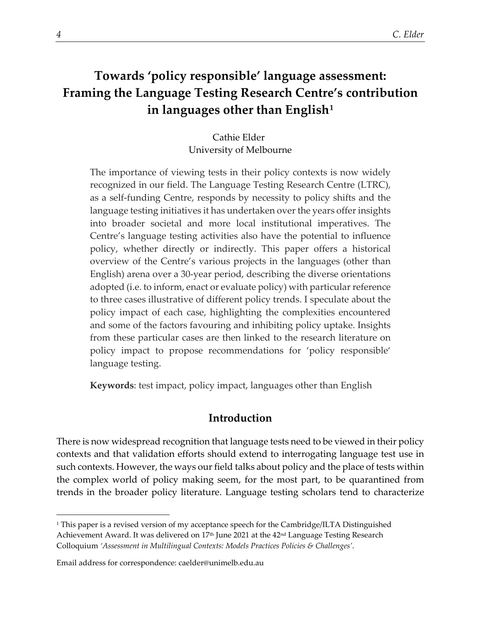# **Towards 'policy responsible' language assessment: Framing the Language Testing Research Centre's contribution in languages other than English[1](#page-0-0)**

Cathie Elder University of Melbourne

The importance of viewing tests in their policy contexts is now widely recognized in our field. The Language Testing Research Centre (LTRC), as a self-funding Centre, responds by necessity to policy shifts and the language testing initiatives it has undertaken over the years offer insights into broader societal and more local institutional imperatives. The Centre's language testing activities also have the potential to influence policy, whether directly or indirectly. This paper offers a historical overview of the Centre's various projects in the languages (other than English) arena over a 30-year period, describing the diverse orientations adopted (i.e. to inform, enact or evaluate policy) with particular reference to three cases illustrative of different policy trends. I speculate about the policy impact of each case, highlighting the complexities encountered and some of the factors favouring and inhibiting policy uptake. Insights from these particular cases are then linked to the research literature on policy impact to propose recommendations for 'policy responsible' language testing.

**Keywords**: test impact, policy impact, languages other than English

# **Introduction**

There is now widespread recognition that language tests need to be viewed in their policy contexts and that validation efforts should extend to interrogating language test use in such contexts. However, the ways our field talks about policy and the place of tests within the complex world of policy making seem, for the most part, to be quarantined from trends in the broader policy literature. Language testing scholars tend to characterize

<span id="page-0-0"></span><sup>1</sup> This paper is a revised version of my acceptance speech for the Cambridge/ILTA Distinguished Achievement Award. It was delivered on 17<sup>th</sup> June 2021 at the 42<sup>nd</sup> Language Testing Research Colloquium *'Assessment in Multilingual Contexts: Models Practices Policies & Challenges'*.

<span id="page-0-1"></span>Email address for correspondence: caelder@unimelb.edu.au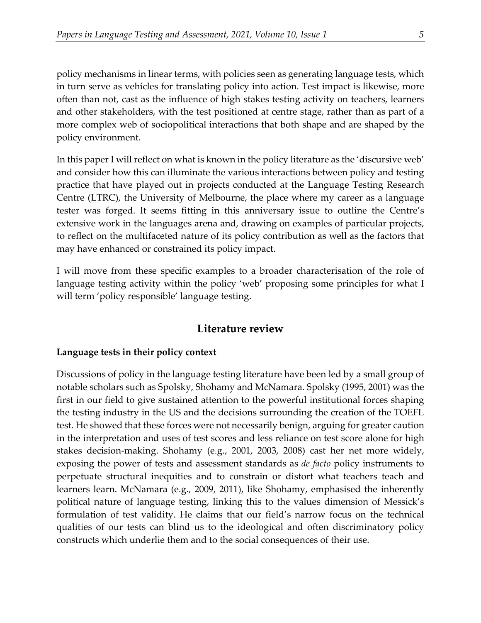policy mechanisms in linear terms, with policies seen as generating language tests, which in turn serve as vehicles for translating policy into action. Test impact is likewise, more often than not, cast as the influence of high stakes testing activity on teachers, learners and other stakeholders, with the test positioned at centre stage, rather than as part of a more complex web of sociopolitical interactions that both shape and are shaped by the policy environment.

In this paper I will reflect on what is known in the policy literature as the 'discursive web' and consider how this can illuminate the various interactions between policy and testing practice that have played out in projects conducted at the Language Testing Research Centre (LTRC), the University of Melbourne, the place where my career as a language tester was forged. It seems fitting in this anniversary issue to outline the Centre's extensive work in the languages arena and, drawing on examples of particular projects, to reflect on the multifaceted nature of its policy contribution as well as the factors that may have enhanced or constrained its policy impact.

I will move from these specific examples to a broader characterisation of the role of language testing activity within the policy 'web' proposing some principles for what I will term 'policy responsible' language testing.

## **Literature review**

### **Language tests in their policy context**

Discussions of policy in the language testing literature have been led by a small group of notable scholars such as Spolsky, Shohamy and McNamara. Spolsky (1995, 2001) was the first in our field to give sustained attention to the powerful institutional forces shaping the testing industry in the US and the decisions surrounding the creation of the TOEFL test. He showed that these forces were not necessarily benign, arguing for greater caution in the interpretation and uses of test scores and less reliance on test score alone for high stakes decision-making. Shohamy (e.g., 2001, 2003, 2008) cast her net more widely, exposing the power of tests and assessment standards as *de facto* policy instruments to perpetuate structural inequities and to constrain or distort what teachers teach and learners learn. McNamara (e.g., 2009, 2011), like Shohamy, emphasised the inherently political nature of language testing, linking this to the values dimension of Messick's formulation of test validity. He claims that our field's narrow focus on the technical qualities of our tests can blind us to the ideological and often discriminatory policy constructs which underlie them and to the social consequences of their use.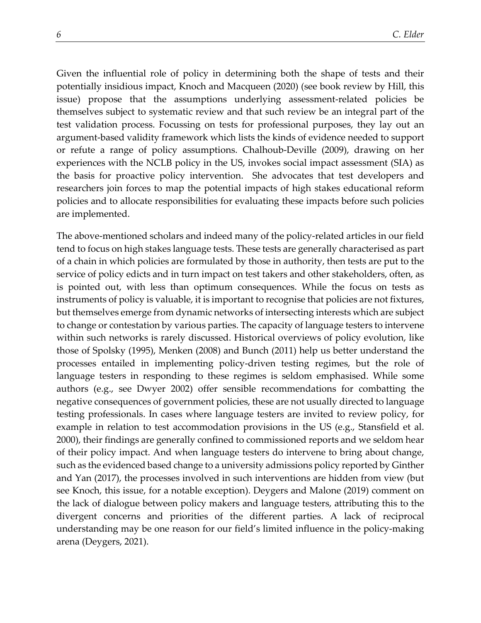Given the influential role of policy in determining both the shape of tests and their potentially insidious impact, Knoch and Macqueen (2020) (see book review by Hill, this issue) propose that the assumptions underlying assessment-related policies be themselves subject to systematic review and that such review be an integral part of the test validation process. Focussing on tests for professional purposes, they lay out an argument-based validity framework which lists the kinds of evidence needed to support or refute a range of policy assumptions. Chalhoub-Deville (2009), drawing on her experiences with the NCLB policy in the US, invokes social impact assessment (SIA) as the basis for proactive policy intervention. She advocates that test developers and researchers join forces to map the potential impacts of high stakes educational reform policies and to allocate responsibilities for evaluating these impacts before such policies are implemented.

The above-mentioned scholars and indeed many of the policy-related articles in our field tend to focus on high stakes language tests. These tests are generally characterised as part of a chain in which policies are formulated by those in authority, then tests are put to the service of policy edicts and in turn impact on test takers and other stakeholders, often, as is pointed out, with less than optimum consequences. While the focus on tests as instruments of policy is valuable, it is important to recognise that policies are not fixtures, but themselves emerge from dynamic networks of intersecting interests which are subject to change or contestation by various parties. The capacity of language testers to intervene within such networks is rarely discussed. Historical overviews of policy evolution, like those of Spolsky (1995), Menken (2008) and Bunch (2011) help us better understand the processes entailed in implementing policy-driven testing regimes, but the role of language testers in responding to these regimes is seldom emphasised. While some authors (e.g., see Dwyer 2002) offer sensible recommendations for combatting the negative consequences of government policies, these are not usually directed to language testing professionals. In cases where language testers are invited to review policy, for example in relation to test accommodation provisions in the US (e.g., Stansfield et al. 2000), their findings are generally confined to commissioned reports and we seldom hear of their policy impact. And when language testers do intervene to bring about change, such as the evidenced based change to a university admissions policy reported by Ginther and Yan (2017), the processes involved in such interventions are hidden from view (but see Knoch, this issue, for a notable exception). Deygers and Malone (2019) comment on the lack of dialogue between policy makers and language testers, attributing this to the divergent concerns and priorities of the different parties. A lack of reciprocal understanding may be one reason for our field's limited influence in the policy-making arena (Deygers, 2021).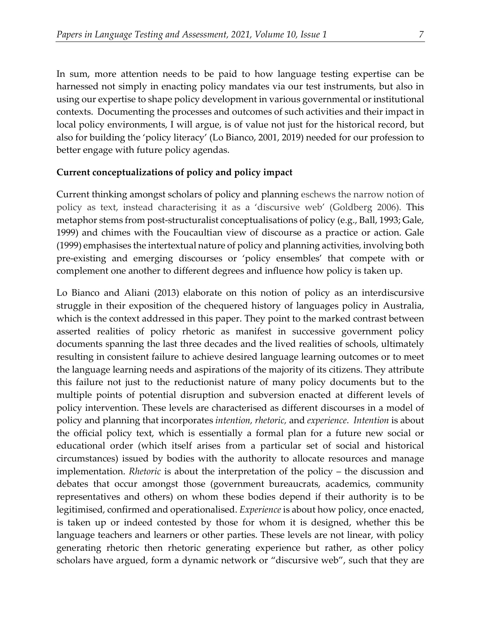In sum, more attention needs to be paid to how language testing expertise can be harnessed not simply in enacting policy mandates via our test instruments, but also in using our expertise to shape policy development in various governmental or institutional contexts. Documenting the processes and outcomes of such activities and their impact in local policy environments, I will argue, is of value not just for the historical record, but also for building the 'policy literacy' (Lo Bianco, 2001, 2019) needed for our profession to better engage with future policy agendas.

#### **Current conceptualizations of policy and policy impact**

Current thinking amongst scholars of policy and planning eschews the narrow notion of policy as text, instead characterising it as a 'discursive web' (Goldberg 2006). This metaphor stems from post-structuralist conceptualisations of policy (e.g., Ball, 1993; Gale, 1999) and chimes with the Foucaultian view of discourse as a practice or action. Gale (1999) emphasises the intertextual nature of policy and planning activities, involving both pre-existing and emerging discourses or 'policy ensembles' that compete with or complement one another to different degrees and influence how policy is taken up.

Lo Bianco and Aliani (2013) elaborate on this notion of policy as an interdiscursive struggle in their exposition of the chequered history of languages policy in Australia, which is the context addressed in this paper. They point to the marked contrast between asserted realities of policy rhetoric as manifest in successive government policy documents spanning the last three decades and the lived realities of schools, ultimately resulting in consistent failure to achieve desired language learning outcomes or to meet the language learning needs and aspirations of the majority of its citizens. They attribute this failure not just to the reductionist nature of many policy documents but to the multiple points of potential disruption and subversion enacted at different levels of policy intervention. These levels are characterised as different discourses in a model of policy and planning that incorporates *intention, rhetoric,* and *experience*. *Intention* is about the official policy text, which is essentially a formal plan for a future new social or educational order (which itself arises from a particular set of social and historical circumstances) issued by bodies with the authority to allocate resources and manage implementation. *Rhetoric* is about the interpretation of the policy – the discussion and debates that occur amongst those (government bureaucrats, academics, community representatives and others) on whom these bodies depend if their authority is to be legitimised, confirmed and operationalised. *Experience* is about how policy, once enacted, is taken up or indeed contested by those for whom it is designed, whether this be language teachers and learners or other parties. These levels are not linear, with policy generating rhetoric then rhetoric generating experience but rather, as other policy scholars have argued, form a dynamic network or "discursive web", such that they are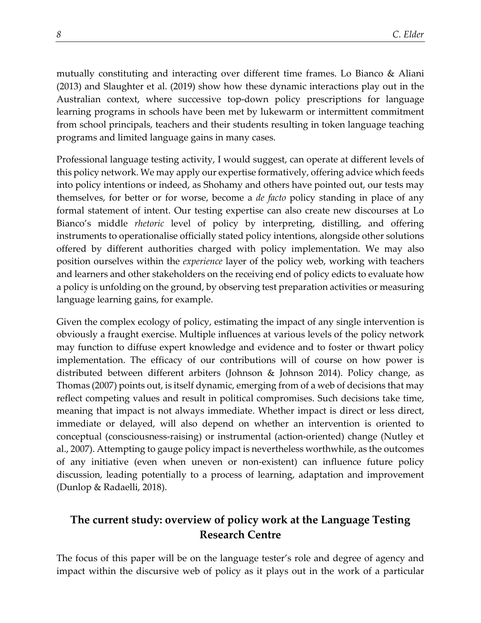mutually constituting and interacting over different time frames. Lo Bianco & Aliani (2013) and Slaughter et al. (2019) show how these dynamic interactions play out in the Australian context, where successive top-down policy prescriptions for language learning programs in schools have been met by lukewarm or intermittent commitment from school principals, teachers and their students resulting in token language teaching programs and limited language gains in many cases.

Professional language testing activity, I would suggest, can operate at different levels of this policy network. We may apply our expertise formatively, offering advice which feeds into policy intentions or indeed, as Shohamy and others have pointed out, our tests may themselves, for better or for worse, become a *de facto* policy standing in place of any formal statement of intent. Our testing expertise can also create new discourses at Lo Bianco's middle *rhetoric* level of policy by interpreting, distilling, and offering instruments to operationalise officially stated policy intentions, alongside other solutions offered by different authorities charged with policy implementation. We may also position ourselves within the *experience* layer of the policy web, working with teachers and learners and other stakeholders on the receiving end of policy edicts to evaluate how a policy is unfolding on the ground, by observing test preparation activities or measuring language learning gains, for example.

Given the complex ecology of policy, estimating the impact of any single intervention is obviously a fraught exercise. Multiple influences at various levels of the policy network may function to diffuse expert knowledge and evidence and to foster or thwart policy implementation. The efficacy of our contributions will of course on how power is distributed between different arbiters (Johnson & Johnson 2014). Policy change, as Thomas (2007) points out, is itself dynamic, emerging from of a web of decisions that may reflect competing values and result in political compromises. Such decisions take time, meaning that impact is not always immediate. Whether impact is direct or less direct, immediate or delayed, will also depend on whether an intervention is oriented to conceptual (consciousness-raising) or instrumental (action-oriented) change (Nutley et al., 2007). Attempting to gauge policy impact is nevertheless worthwhile, as the outcomes of any initiative (even when uneven or non-existent) can influence future policy discussion, leading potentially to a process of learning, adaptation and improvement (Dunlop & Radaelli, 2018).

# **The current study: overview of policy work at the Language Testing Research Centre**

The focus of this paper will be on the language tester's role and degree of agency and impact within the discursive web of policy as it plays out in the work of a particular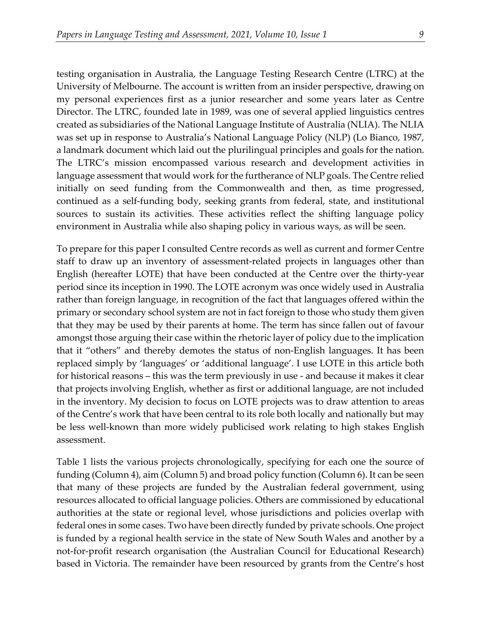testing organisation in Australia, the Language Testing Research Centre (LTRC) at the University of Melbourne. The account is written from an insider perspective, drawing on my personal experiences first as a junior researcher and some years later as Centre Director. The LTRC, founded late in 1989, was one of several applied linguistics centres created as subsidiaries of the National Language Institute of Australia (NLIA). The NLIA was set up in response to Australia's National Language Policy (NLP) (Lo Bianco, 1987, a landmark document which laid out the plurilingual principles and goals for the nation. The LTRC's mission encompassed various research and development activities in language assessment that would work for the furtherance of NLP goals. The Centre relied initially on seed funding from the Commonwealth and then, as time progressed, continued as a self-funding body, seeking grants from federal, state, and institutional sources to sustain its activities. These activities reflect the shifting language policy environment in Australia while also shaping policy in various ways, as will be seen.

To prepare for this paper I consulted Centre records as well as current and former Centre staff to draw up an inventory of assessment-related projects in languages other than English (hereafter LOTE) that have been conducted at the Centre over the thirty-year period since its inception in 1990. The LOTE acronym was once widely used in Australia rather than foreign language, in recognition of the fact that languages offered within the primary or secondary school system are not in fact foreign to those who study them given that they may be used by their parents at home. The term has since fallen out of favour amongst those arguing their case within the rhetoric layer of policy due to the implication that it "others" and thereby demotes the status of non-English languages. It has been replaced simply by 'languages' or 'additional language'. I use LOTE in this article both for historical reasons – this was the term previously in use - and because it makes it clear that projects involving English, whether as first or additional language, are not included in the inventory. My decision to focus on LOTE projects was to draw attention to areas of the Centre's work that have been central to its role both locally and nationally but may be less well-known than more widely publicised work relating to high stakes English assessment.

Table 1 lists the various projects chronologically, specifying for each one the source of funding (Column 4), aim (Column 5) and broad policy function (Column 6). It can be seen that many of these projects are funded by the Australian federal government, using resources allocated to official language policies. Others are commissioned by educational authorities at the state or regional level, whose jurisdictions and policies overlap with federal ones in some cases. Two have been directly funded by private schools. One project is funded by a regional health service in the state of New South Wales and another by a not-for-profit research organisation (the Australian Council for Educational Research) based in Victoria. The remainder have been resourced by grants from the Centre's host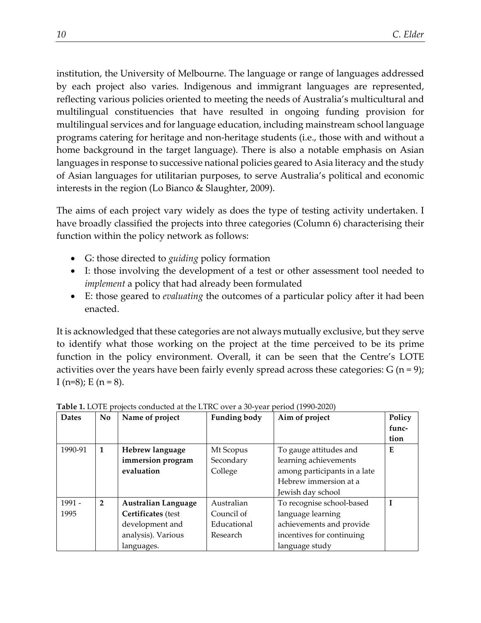institution, the University of Melbourne. The language or range of languages addressed by each project also varies. Indigenous and immigrant languages are represented, reflecting various policies oriented to meeting the needs of Australia's multicultural and multilingual constituencies that have resulted in ongoing funding provision for multilingual services and for language education, including mainstream school language programs catering for heritage and non-heritage students (i.e., those with and without a home background in the target language). There is also a notable emphasis on Asian languages in response to successive national policies geared to Asia literacy and the study of Asian languages for utilitarian purposes, to serve Australia's political and economic interests in the region (Lo Bianco & Slaughter, 2009).

The aims of each project vary widely as does the type of testing activity undertaken. I have broadly classified the projects into three categories (Column 6) characterising their function within the policy network as follows:

- G: those directed to *guiding* policy formation
- I: those involving the development of a test or other assessment tool needed to *implement* a policy that had already been formulated
- E: those geared to *evaluating* the outcomes of a particular policy after it had been enacted.

It is acknowledged that these categories are not always mutually exclusive, but they serve to identify what those working on the project at the time perceived to be its prime function in the policy environment. Overall, it can be seen that the Centre's LOTE activities over the years have been fairly evenly spread across these categories:  $G(n=9)$ ; I (n=8); E (n = 8).

| <b>Dates</b> | N <sub>o</sub> | Name of project            | <b>Funding body</b> | Aim of project               | Policy |
|--------------|----------------|----------------------------|---------------------|------------------------------|--------|
|              |                |                            |                     |                              | func-  |
|              |                |                            |                     |                              | tion   |
| 1990-91      | 1              | Hebrew language            | Mt Scopus           | To gauge attitudes and       | E      |
|              |                | immersion program          | Secondary           | learning achievements        |        |
|              |                | evaluation                 | College             | among participants in a late |        |
|              |                |                            |                     | Hebrew immersion at a        |        |
|              |                |                            |                     | Jewish day school            |        |
| 1991 -       | $\overline{2}$ | <b>Australian Language</b> | Australian          | To recognise school-based    |        |
| 1995         |                | Certificates (test         | Council of          | language learning            |        |
|              |                | development and            | Educational         | achievements and provide     |        |
|              |                | analysis). Various         | Research            | incentives for continuing    |        |
|              |                | languages.                 |                     | language study               |        |

**Table 1.** LOTE projects conducted at the LTRC over a 30-year period (1990-2020)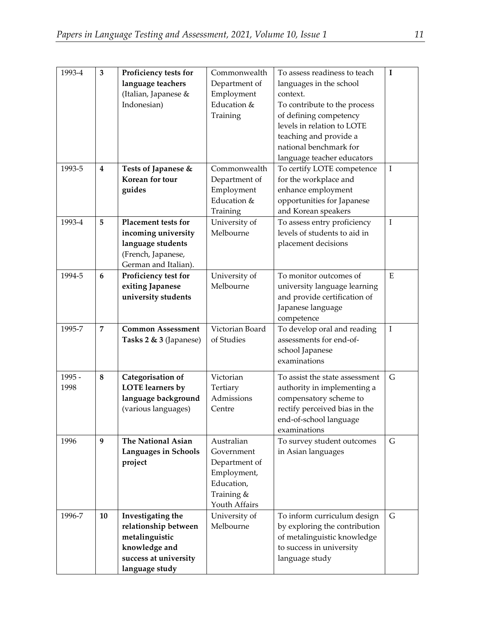| 1993-4 | 3                | Proficiency tests for                  | Commonwealth    | To assess readiness to teach   | $\mathbf I$ |
|--------|------------------|----------------------------------------|-----------------|--------------------------------|-------------|
|        |                  | language teachers                      | Department of   | languages in the school        |             |
|        |                  | (Italian, Japanese &                   | Employment      | context.                       |             |
|        |                  | Indonesian)                            | Education &     | To contribute to the process   |             |
|        |                  |                                        | Training        | of defining competency         |             |
|        |                  |                                        |                 | levels in relation to LOTE     |             |
|        |                  |                                        |                 | teaching and provide a         |             |
|        |                  |                                        |                 | national benchmark for         |             |
|        |                  |                                        |                 | language teacher educators     |             |
| 1993-5 | $\bf{4}$         |                                        | Commonwealth    |                                | $\rm I$     |
|        |                  | Tests of Japanese &<br>Korean for tour |                 | To certify LOTE competence     |             |
|        |                  |                                        | Department of   | for the workplace and          |             |
|        |                  | guides                                 | Employment      | enhance employment             |             |
|        |                  |                                        | Education &     | opportunities for Japanese     |             |
|        |                  |                                        | Training        | and Korean speakers            |             |
| 1993-4 | 5                | Placement tests for                    | University of   | To assess entry proficiency    | $\rm I$     |
|        |                  | incoming university                    | Melbourne       | levels of students to aid in   |             |
|        |                  | language students                      |                 | placement decisions            |             |
|        |                  | (French, Japanese,                     |                 |                                |             |
|        |                  | German and Italian).                   |                 |                                |             |
| 1994-5 | $\boldsymbol{6}$ | Proficiency test for                   | University of   | To monitor outcomes of         | ${\bf E}$   |
|        |                  | exiting Japanese                       | Melbourne       | university language learning   |             |
|        |                  | university students                    |                 | and provide certification of   |             |
|        |                  |                                        |                 | Japanese language              |             |
|        |                  |                                        |                 | competence                     |             |
| 1995-7 | $\overline{7}$   | <b>Common Assessment</b>               | Victorian Board | To develop oral and reading    | $\rm I$     |
|        |                  | Tasks 2 & 3 (Japanese)                 | of Studies      | assessments for end-of-        |             |
|        |                  |                                        |                 | school Japanese                |             |
|        |                  |                                        |                 | examinations                   |             |
| 1995 - | $\bf 8$          | Categorisation of                      | Victorian       | To assist the state assessment | G           |
| 1998   |                  | <b>LOTE</b> learners by                | Tertiary        | authority in implementing a    |             |
|        |                  | language background                    | Admissions      | compensatory scheme to         |             |
|        |                  |                                        |                 |                                |             |
|        |                  | (various languages)                    | Centre          | rectify perceived bias in the  |             |
|        |                  |                                        |                 | end-of-school language         |             |
|        |                  | <b>The National Asian</b>              | Australian      | examinations                   | G           |
| 1996   | 9                |                                        |                 | To survey student outcomes     |             |
|        |                  | <b>Languages in Schools</b>            | Government      | in Asian languages             |             |
|        |                  | project                                | Department of   |                                |             |
|        |                  |                                        | Employment,     |                                |             |
|        |                  |                                        | Education,      |                                |             |
|        |                  |                                        | Training &      |                                |             |
|        |                  |                                        | Youth Affairs   |                                |             |
| 1996-7 | 10               | Investigating the                      | University of   | To inform curriculum design    | G           |
|        |                  | relationship between                   | Melbourne       | by exploring the contribution  |             |
|        |                  | metalinguistic                         |                 | of metalinguistic knowledge    |             |
|        |                  | knowledge and                          |                 | to success in university       |             |
|        |                  | success at university                  |                 | language study                 |             |
|        |                  | language study                         |                 |                                |             |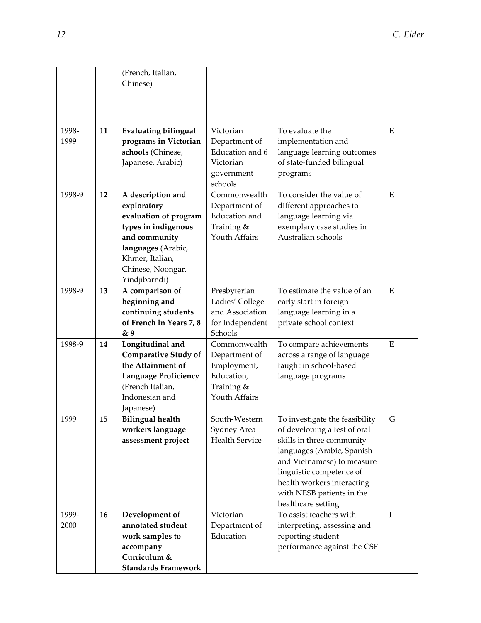|               |    | (French, Italian,<br>Chinese)                                                                                                                                                    |                                                                                           |                                                                                                                                                                                                                                                                      |               |
|---------------|----|----------------------------------------------------------------------------------------------------------------------------------------------------------------------------------|-------------------------------------------------------------------------------------------|----------------------------------------------------------------------------------------------------------------------------------------------------------------------------------------------------------------------------------------------------------------------|---------------|
| 1998-<br>1999 | 11 | <b>Evaluating bilingual</b><br>programs in Victorian<br>schools (Chinese,<br>Japanese, Arabic)                                                                                   | Victorian<br>Department of<br>Education and 6<br>Victorian<br>government<br>schools       | To evaluate the<br>implementation and<br>language learning outcomes<br>of state-funded bilingual<br>programs                                                                                                                                                         | ${\bf E}$     |
| 1998-9        | 12 | A description and<br>exploratory<br>evaluation of program<br>types in indigenous<br>and community<br>languages (Arabic,<br>Khmer, Italian,<br>Chinese, Noongar,<br>Yindjibarndi) | Commonwealth<br>Department of<br><b>Education</b> and<br>Training &<br>Youth Affairs      | To consider the value of<br>different approaches to<br>language learning via<br>exemplary case studies in<br>Australian schools                                                                                                                                      | ${\bf E}$     |
| 1998-9        | 13 | A comparison of<br>beginning and<br>continuing students<br>of French in Years 7, 8<br>& 9                                                                                        | Presbyterian<br>Ladies' College<br>and Association<br>for Independent<br>Schools          | To estimate the value of an<br>early start in foreign<br>language learning in a<br>private school context                                                                                                                                                            | ${\bf E}$     |
| 1998-9        | 14 | Longitudinal and<br><b>Comparative Study of</b><br>the Attainment of<br><b>Language Proficiency</b><br>(French Italian,<br>Indonesian and<br>Japanese)                           | Commonwealth<br>Department of<br>Employment,<br>Education,<br>Training &<br>Youth Affairs | To compare achievements<br>across a range of language<br>taught in school-based<br>language programs                                                                                                                                                                 | ${\bf E}$     |
| 1999          | 15 | <b>Bilingual health</b><br>workers language<br>assessment project                                                                                                                | South-Western<br>Sydney Area<br><b>Health Service</b>                                     | To investigate the feasibility<br>of developing a test of oral<br>skills in three community<br>languages (Arabic, Spanish<br>and Vietnamese) to measure<br>linguistic competence of<br>health workers interacting<br>with NESB patients in the<br>healthcare setting | ${\mathsf G}$ |
| 1999-<br>2000 | 16 | Development of<br>annotated student<br>work samples to<br>accompany<br>Curriculum &<br><b>Standards Framework</b>                                                                | Victorian<br>Department of<br>Education                                                   | To assist teachers with<br>interpreting, assessing and<br>reporting student<br>performance against the CSF                                                                                                                                                           | $\bf I$       |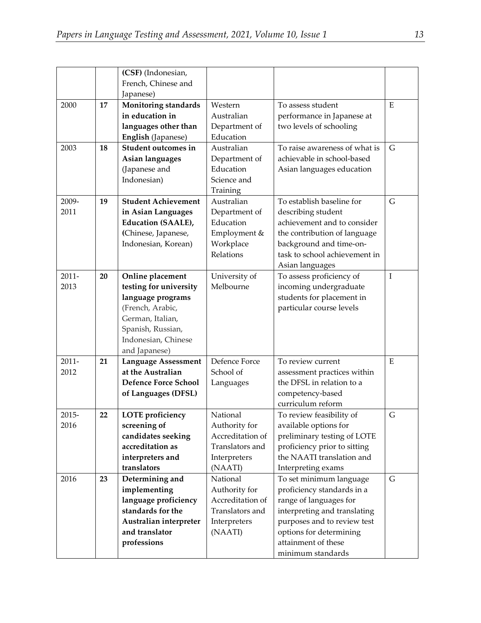|          |    | (CSF) (Indonesian,<br>French, Chinese and<br>Japanese) |                  |                               |           |
|----------|----|--------------------------------------------------------|------------------|-------------------------------|-----------|
| 2000     | 17 | Monitoring standards                                   | Western          | To assess student             | ${\bf E}$ |
|          |    | in education in                                        | Australian       | performance in Japanese at    |           |
|          |    | languages other than                                   | Department of    | two levels of schooling       |           |
|          |    | English (Japanese)                                     | Education        |                               |           |
| 2003     | 18 | Student outcomes in                                    | Australian       | To raise awareness of what is | G         |
|          |    | Asian languages                                        | Department of    | achievable in school-based    |           |
|          |    | (Japanese and                                          | Education        | Asian languages education     |           |
|          |    | Indonesian)                                            | Science and      |                               |           |
|          |    |                                                        | Training         |                               |           |
| 2009-    | 19 | <b>Student Achievement</b>                             | Australian       | To establish baseline for     | G         |
| 2011     |    | in Asian Languages                                     | Department of    | describing student            |           |
|          |    | <b>Education (SAALE),</b>                              | Education        | achievement and to consider   |           |
|          |    | (Chinese, Japanese,                                    | Employment &     | the contribution of language  |           |
|          |    | Indonesian, Korean)                                    | Workplace        | background and time-on-       |           |
|          |    |                                                        | Relations        | task to school achievement in |           |
|          |    |                                                        |                  | Asian languages               |           |
| $2011 -$ | 20 | Online placement                                       | University of    | To assess proficiency of      | $\rm I$   |
| 2013     |    | testing for university                                 | Melbourne        | incoming undergraduate        |           |
|          |    | language programs                                      |                  | students for placement in     |           |
|          |    | (French, Arabic,                                       |                  | particular course levels      |           |
|          |    | German, Italian,                                       |                  |                               |           |
|          |    | Spanish, Russian,                                      |                  |                               |           |
|          |    | Indonesian, Chinese                                    |                  |                               |           |
|          |    | and Japanese)                                          |                  |                               |           |
| $2011 -$ | 21 | <b>Language Assessment</b>                             | Defence Force    | To review current             | ${\bf E}$ |
| 2012     |    | at the Australian                                      | School of        | assessment practices within   |           |
|          |    | <b>Defence Force School</b>                            | Languages        | the DFSL in relation to a     |           |
|          |    | of Languages (DFSL)                                    |                  | competency-based              |           |
|          |    |                                                        |                  | curriculum reform             |           |
| 2015-    | 22 | <b>LOTE</b> proficiency                                | National         | To review feasibility of      | G         |
| 2016     |    | screening of                                           | Authority for    | available options for         |           |
|          |    | candidates seeking                                     | Accreditation of | preliminary testing of LOTE   |           |
|          |    | accreditation as                                       | Translators and  | proficiency prior to sitting  |           |
|          |    | interpreters and                                       | Interpreters     | the NAATI translation and     |           |
|          |    | translators                                            | (NAATI)          | Interpreting exams            |           |
| 2016     | 23 | Determining and                                        | National         | To set minimum language       | G         |
|          |    | implementing                                           | Authority for    | proficiency standards in a    |           |
|          |    | language proficiency                                   | Accreditation of | range of languages for        |           |
|          |    | standards for the                                      | Translators and  | interpreting and translating  |           |
|          |    | Australian interpreter                                 | Interpreters     | purposes and to review test   |           |
|          |    | and translator                                         | (NAATI)          | options for determining       |           |
|          |    | professions                                            |                  | attainment of these           |           |
|          |    |                                                        |                  | minimum standards             |           |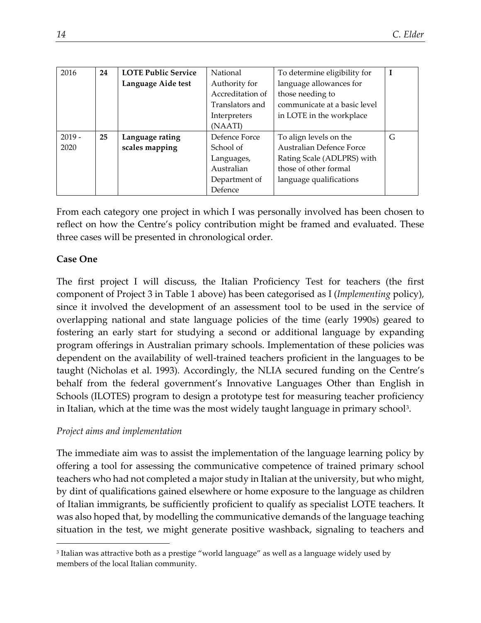| 2016     | 24 | <b>LOTE Public Service</b> | National         | To determine eligibility for    | $\mathbf I$ |
|----------|----|----------------------------|------------------|---------------------------------|-------------|
|          |    | Language Aide test         | Authority for    | language allowances for         |             |
|          |    |                            | Accreditation of | those needing to                |             |
|          |    |                            | Translators and  | communicate at a basic level    |             |
|          |    |                            | Interpreters     | in LOTE in the workplace        |             |
|          |    |                            | (NAATI)          |                                 |             |
| $2019 -$ | 25 | Language rating            | Defence Force    | To align levels on the          | G           |
| 2020     |    | scales mapping             | School of        | <b>Australian Defence Force</b> |             |
|          |    |                            | Languages,       | Rating Scale (ADLPRS) with      |             |
|          |    |                            | Australian       | those of other formal           |             |
|          |    |                            | Department of    | language qualifications         |             |
|          |    |                            | Defence          |                                 |             |

From each category one project in which I was personally involved has been chosen to reflect on how the Centre's policy contribution might be framed and evaluated. These three cases will be presented in chronological order.

# **Case One**

The first project I will discuss, the Italian Proficiency Test for teachers (the first component of Project 3 in Table 1 above) has been categorised as I (*Implementing* policy), since it involved the development of an assessment tool to be used in the service of overlapping national and state language policies of the time (early 1990s) geared to fostering an early start for studying a second or additional language by expanding program offerings in Australian primary schools. Implementation of these policies was dependent on the availability of well-trained teachers proficient in the languages to be taught (Nicholas et al. 1993). Accordingly, the NLIA secured funding on the Centre's behalf from the federal government's Innovative Languages Other than English in Schools (ILOTES) program to design a prototype test for measuring teacher proficiency in Italian, which at the time was the most widely taught language in primary school<sup>[3](#page-10-0)</sup>.

## *Project aims and implementation*

The immediate aim was to assist the implementation of the language learning policy by offering a tool for assessing the communicative competence of trained primary school teachers who had not completed a major study in Italian at the university, but who might, by dint of qualifications gained elsewhere or home exposure to the language as children of Italian immigrants, be sufficiently proficient to qualify as specialist LOTE teachers. It was also hoped that, by modelling the communicative demands of the language teaching situation in the test, we might generate positive washback, signaling to teachers and

<span id="page-10-0"></span><sup>3</sup> Italian was attractive both as a prestige "world language" as well as a language widely used by members of the local Italian community.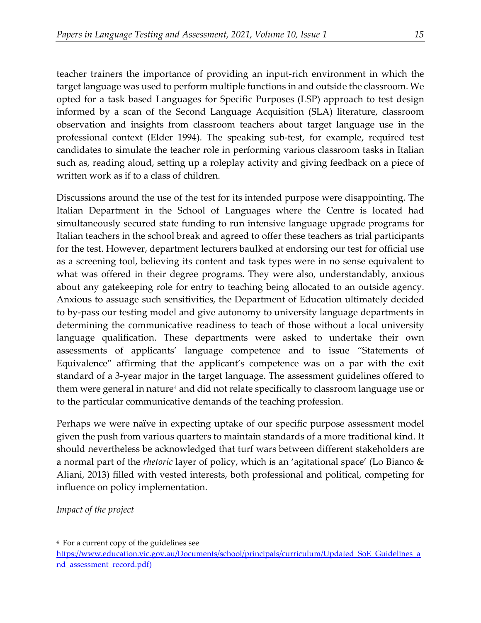teacher trainers the importance of providing an input-rich environment in which the target language was used to perform multiple functions in and outside the classroom. We opted for a task based Languages for Specific Purposes (LSP) approach to test design informed by a scan of the Second Language Acquisition (SLA) literature, classroom observation and insights from classroom teachers about target language use in the professional context (Elder 1994). The speaking sub-test, for example, required test candidates to simulate the teacher role in performing various classroom tasks in Italian such as, reading aloud, setting up a roleplay activity and giving feedback on a piece of written work as if to a class of children.

Discussions around the use of the test for its intended purpose were disappointing. The Italian Department in the School of Languages where the Centre is located had simultaneously secured state funding to run intensive language upgrade programs for Italian teachers in the school break and agreed to offer these teachers as trial participants for the test. However, department lecturers baulked at endorsing our test for official use as a screening tool, believing its content and task types were in no sense equivalent to what was offered in their degree programs. They were also, understandably, anxious about any gatekeeping role for entry to teaching being allocated to an outside agency. Anxious to assuage such sensitivities, the Department of Education ultimately decided to by-pass our testing model and give autonomy to university language departments in determining the communicative readiness to teach of those without a local university language qualification. These departments were asked to undertake their own assessments of applicants' language competence and to issue "Statements of Equivalence" affirming that the applicant's competence was on a par with the exit standard of a 3-year major in the target language. The assessment guidelines offered to them were general in nature<sup>[4](#page-11-0)</sup> and did not relate specifically to classroom language use or to the particular communicative demands of the teaching profession.

Perhaps we were naïve in expecting uptake of our specific purpose assessment model given the push from various quarters to maintain standards of a more traditional kind. It should nevertheless be acknowledged that turf wars between different stakeholders are a normal part of the *rhetoric* layer of policy, which is an 'agitational space' (Lo Bianco & Aliani, 2013) filled with vested interests, both professional and political, competing for influence on policy implementation.

*Impact of the project*

<span id="page-11-0"></span><sup>4</sup> For a current copy of the guidelines see

https://www.education.vic.gov.au/Documents/school/principals/curriculum/Updated SoE Guidelines a [nd\\_assessment\\_record.pdf\)](https://www.education.vic.gov.au/Documents/school/principals/curriculum/Updated_SoE_Guidelines_and_assessment_record.pdf)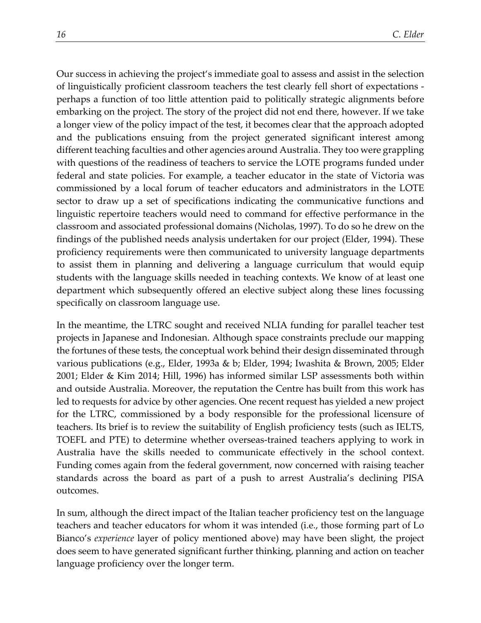Our success in achieving the project's immediate goal to assess and assist in the selection of linguistically proficient classroom teachers the test clearly fell short of expectations perhaps a function of too little attention paid to politically strategic alignments before embarking on the project. The story of the project did not end there, however. If we take a longer view of the policy impact of the test, it becomes clear that the approach adopted and the publications ensuing from the project generated significant interest among different teaching faculties and other agencies around Australia. They too were grappling with questions of the readiness of teachers to service the LOTE programs funded under federal and state policies. For example, a teacher educator in the state of Victoria was commissioned by a local forum of teacher educators and administrators in the LOTE sector to draw up a set of specifications indicating the communicative functions and linguistic repertoire teachers would need to command for effective performance in the classroom and associated professional domains (Nicholas, 1997). To do so he drew on the findings of the published needs analysis undertaken for our project (Elder, 1994). These proficiency requirements were then communicated to university language departments to assist them in planning and delivering a language curriculum that would equip students with the language skills needed in teaching contexts. We know of at least one department which subsequently offered an elective subject along these lines focussing specifically on classroom language use.

In the meantime, the LTRC sought and received NLIA funding for parallel teacher test projects in Japanese and Indonesian. Although space constraints preclude our mapping the fortunes of these tests, the conceptual work behind their design disseminated through various publications (e.g., Elder, 1993a & b; Elder, 1994; Iwashita & Brown, 2005; Elder 2001; Elder & Kim 2014; Hill, 1996) has informed similar LSP assessments both within and outside Australia. Moreover, the reputation the Centre has built from this work has led to requests for advice by other agencies. One recent request has yielded a new project for the LTRC, commissioned by a body responsible for the professional licensure of teachers. Its brief is to review the suitability of English proficiency tests (such as IELTS, TOEFL and PTE) to determine whether overseas-trained teachers applying to work in Australia have the skills needed to communicate effectively in the school context. Funding comes again from the federal government, now concerned with raising teacher standards across the board as part of a push to arrest Australia's declining PISA outcomes.

In sum, although the direct impact of the Italian teacher proficiency test on the language teachers and teacher educators for whom it was intended (i.e., those forming part of Lo Bianco's *experience* layer of policy mentioned above) may have been slight, the project does seem to have generated significant further thinking, planning and action on teacher language proficiency over the longer term.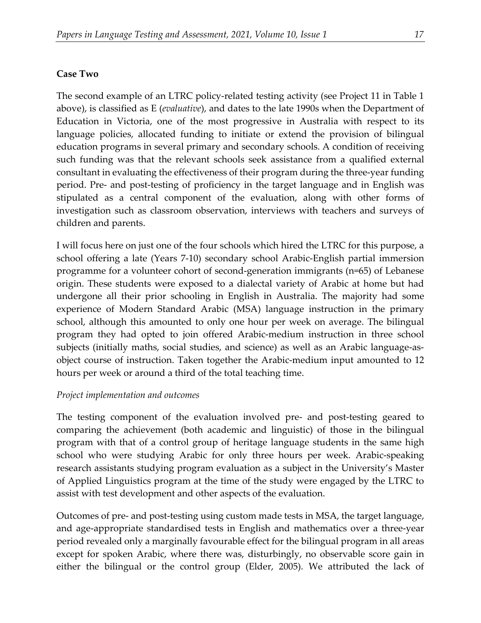#### **Case Two**

The second example of an LTRC policy-related testing activity (see Project 11 in Table 1 above), is classified as E (*evaluative*), and dates to the late 1990s when the Department of Education in Victoria, one of the most progressive in Australia with respect to its language policies, allocated funding to initiate or extend the provision of bilingual education programs in several primary and secondary schools. A condition of receiving such funding was that the relevant schools seek assistance from a qualified external consultant in evaluating the effectiveness of their program during the three-year funding period. Pre- and post-testing of proficiency in the target language and in English was stipulated as a central component of the evaluation, along with other forms of investigation such as classroom observation, interviews with teachers and surveys of children and parents.

I will focus here on just one of the four schools which hired the LTRC for this purpose, a school offering a late (Years 7-10) secondary school Arabic-English partial immersion programme for a volunteer cohort of second-generation immigrants (n=65) of Lebanese origin. These students were exposed to a dialectal variety of Arabic at home but had undergone all their prior schooling in English in Australia. The majority had some experience of Modern Standard Arabic (MSA) language instruction in the primary school, although this amounted to only one hour per week on average. The bilingual program they had opted to join offered Arabic-medium instruction in three school subjects (initially maths, social studies, and science) as well as an Arabic language-asobject course of instruction. Taken together the Arabic-medium input amounted to 12 hours per week or around a third of the total teaching time.

#### *Project implementation and outcomes*

The testing component of the evaluation involved pre- and post-testing geared to comparing the achievement (both academic and linguistic) of those in the bilingual program with that of a control group of heritage language students in the same high school who were studying Arabic for only three hours per week. Arabic-speaking research assistants studying program evaluation as a subject in the University's Master of Applied Linguistics program at the time of the study were engaged by the LTRC to assist with test development and other aspects of the evaluation.

Outcomes of pre- and post-testing using custom made tests in MSA, the target language, and age-appropriate standardised tests in English and mathematics over a three-year period revealed only a marginally favourable effect for the bilingual program in all areas except for spoken Arabic, where there was, disturbingly, no observable score gain in either the bilingual or the control group (Elder, 2005). We attributed the lack of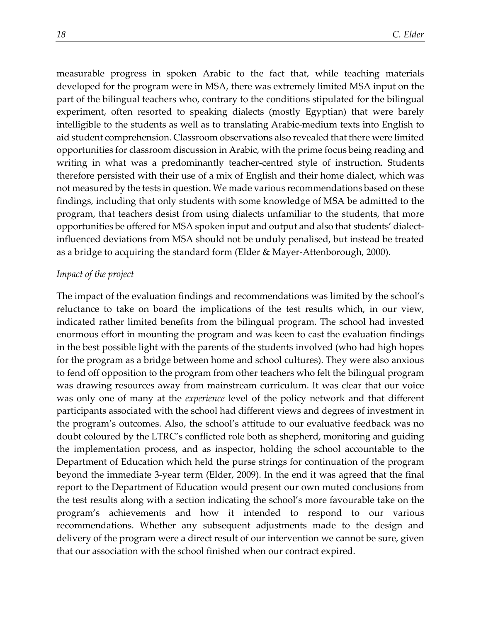measurable progress in spoken Arabic to the fact that, while teaching materials developed for the program were in MSA, there was extremely limited MSA input on the part of the bilingual teachers who, contrary to the conditions stipulated for the bilingual experiment, often resorted to speaking dialects (mostly Egyptian) that were barely intelligible to the students as well as to translating Arabic-medium texts into English to aid student comprehension. Classroom observations also revealed that there were limited opportunities for classroom discussion in Arabic, with the prime focus being reading and writing in what was a predominantly teacher-centred style of instruction. Students therefore persisted with their use of a mix of English and their home dialect, which was not measured by the tests in question. We made various recommendations based on these findings, including that only students with some knowledge of MSA be admitted to the program, that teachers desist from using dialects unfamiliar to the students, that more opportunities be offered for MSA spoken input and output and also that students' dialectinfluenced deviations from MSA should not be unduly penalised, but instead be treated as a bridge to acquiring the standard form (Elder & Mayer-Attenborough, 2000).

#### *Impact of the project*

The impact of the evaluation findings and recommendations was limited by the school's reluctance to take on board the implications of the test results which, in our view, indicated rather limited benefits from the bilingual program. The school had invested enormous effort in mounting the program and was keen to cast the evaluation findings in the best possible light with the parents of the students involved (who had high hopes for the program as a bridge between home and school cultures). They were also anxious to fend off opposition to the program from other teachers who felt the bilingual program was drawing resources away from mainstream curriculum. It was clear that our voice was only one of many at the *experience* level of the policy network and that different participants associated with the school had different views and degrees of investment in the program's outcomes. Also, the school's attitude to our evaluative feedback was no doubt coloured by the LTRC's conflicted role both as shepherd, monitoring and guiding the implementation process, and as inspector, holding the school accountable to the Department of Education which held the purse strings for continuation of the program beyond the immediate 3-year term (Elder, 2009). In the end it was agreed that the final report to the Department of Education would present our own muted conclusions from the test results along with a section indicating the school's more favourable take on the program's achievements and how it intended to respond to our various recommendations. Whether any subsequent adjustments made to the design and delivery of the program were a direct result of our intervention we cannot be sure, given that our association with the school finished when our contract expired.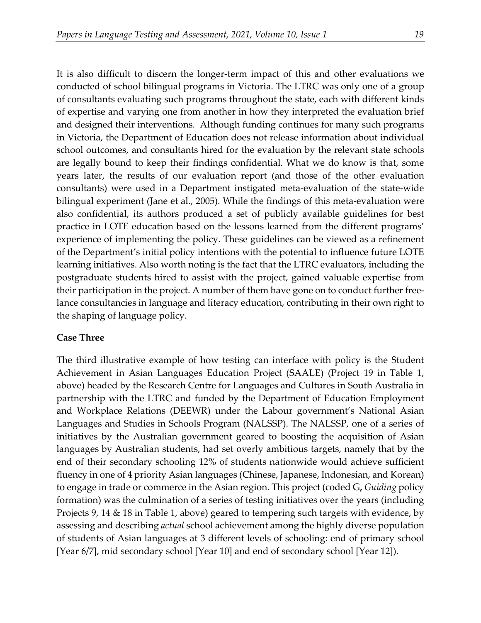It is also difficult to discern the longer-term impact of this and other evaluations we conducted of school bilingual programs in Victoria. The LTRC was only one of a group of consultants evaluating such programs throughout the state, each with different kinds of expertise and varying one from another in how they interpreted the evaluation brief and designed their interventions. Although funding continues for many such programs in Victoria, the Department of Education does not release information about individual school outcomes, and consultants hired for the evaluation by the relevant state schools are legally bound to keep their findings confidential. What we do know is that, some years later, the results of our evaluation report (and those of the other evaluation consultants) were used in a Department instigated meta-evaluation of the state-wide bilingual experiment (Jane et al., 2005). While the findings of this meta-evaluation were also confidential, its authors produced a set of publicly available guidelines for best practice in LOTE education based on the lessons learned from the different programs' experience of implementing the policy. These guidelines can be viewed as a refinement of the Department's initial policy intentions with the potential to influence future LOTE learning initiatives. Also worth noting is the fact that the LTRC evaluators, including the postgraduate students hired to assist with the project, gained valuable expertise from their participation in the project. A number of them have gone on to conduct further freelance consultancies in language and literacy education, contributing in their own right to the shaping of language policy.

## **Case Three**

The third illustrative example of how testing can interface with policy is the Student Achievement in Asian Languages Education Project (SAALE) (Project 19 in Table 1, above) headed by the Research Centre for Languages and Cultures in South Australia in partnership with the LTRC and funded by the Department of Education Employment and Workplace Relations (DEEWR) under the Labour government's National Asian Languages and Studies in Schools Program (NALSSP). The NALSSP, one of a series of initiatives by the Australian government geared to boosting the acquisition of Asian languages by Australian students, had set overly ambitious targets, namely that by the end of their secondary schooling 12% of students nationwide would achieve sufficient fluency in one of 4 priority Asian languages (Chinese, Japanese, Indonesian, and Korean) to engage in trade or commerce in the Asian region. This project (coded G**,** *Guiding* policy formation) was the culmination of a series of testing initiatives over the years (including Projects 9, 14 & 18 in Table 1, above) geared to tempering such targets with evidence, by assessing and describing *actual* school achievement among the highly diverse population of students of Asian languages at 3 different levels of schooling: end of primary school [Year 6/7], mid secondary school [Year 10] and end of secondary school [Year 12]).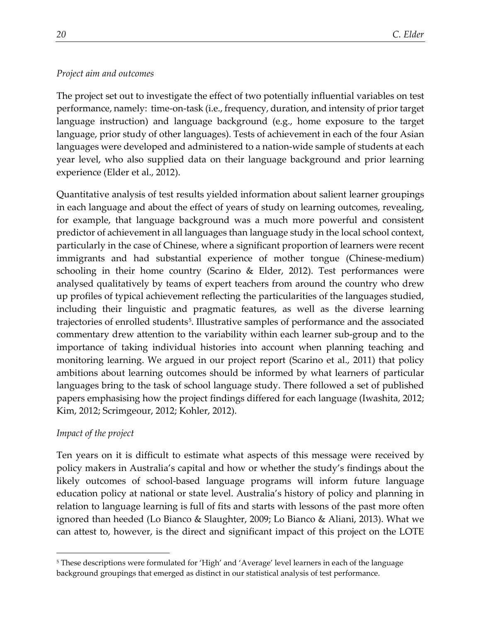# *Project aim and outcomes*

The project set out to investigate the effect of two potentially influential variables on test performance, namely: time-on-task (i.e., frequency, duration, and intensity of priortarget language instruction) and language background (e.g., home exposure to the target language, prior study of other languages). Tests of achievement in each of the four Asian languages were developed and administered to a nation-wide sample of students at each year level, who also supplied data on their language background and prior learning experience (Elder et al., 2012).

Quantitative analysis of test results yielded information about salient learner groupings in each language and about the effect of years of study on learning outcomes, revealing, for example, that language background was a much more powerful and consistent predictor of achievement in all languages than language study in the local school context, particularly in the case of Chinese, where a significant proportion of learners were recent immigrants and had substantial experience of mother tongue (Chinese-medium) schooling in their home country (Scarino & Elder, 2012). Test performances were analysed qualitatively by teams of expert teachers from around the country who drew up profiles of typical achievement reflecting the particularities of the languages studied, including their linguistic and pragmatic features, as well as the diverse learning trajectories of enrolled students<sup>5</sup>. Illustrative samples of performance and the associated commentary drew attention to the variability within each learner sub-group and to the importance of taking individual histories into account when planning teaching and monitoring learning. We argued in our project report (Scarino et al., 2011) that policy ambitions about learning outcomes should be informed by what learners of particular languages bring to the task of school language study. There followed a set of published papers emphasising how the project findings differed for each language (Iwashita, 2012; Kim, 2012; Scrimgeour, 2012; Kohler, 2012).

# *Impact of the project*

Ten years on it is difficult to estimate what aspects of this message were received by policy makers in Australia's capital and how or whether the study's findings about the likely outcomes of school-based language programs will inform future language education policy at national or state level. Australia's history of policy and planning in relation to language learning is full of fits and starts with lessons of the past more often ignored than heeded (Lo Bianco & Slaughter, 2009; Lo Bianco & Aliani, 2013). What we can attest to, however, is the direct and significant impact of this project on the LOTE

<span id="page-16-0"></span><sup>5</sup> These descriptions were formulated for 'High' and 'Average' level learners in each of the language background groupings that emerged as distinct in our statistical analysis of test performance.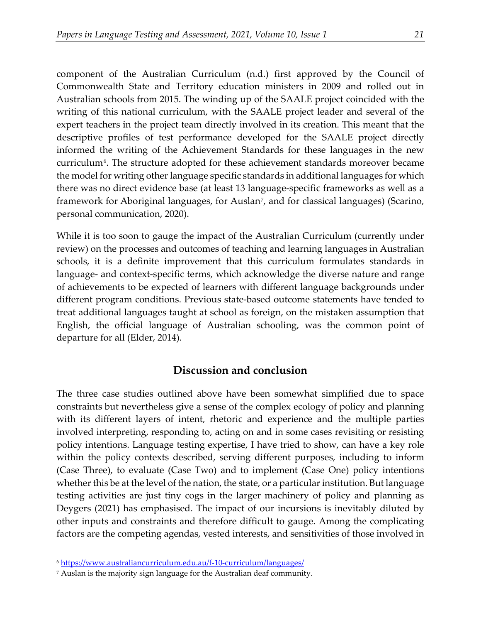component of the Australian Curriculum (n.d.) first approved by the Council of Commonwealth State and Territory education ministers in 2009 and rolled out in Australian schools from 2015. The winding up of the SAALE project coincided with the writing of this national curriculum, with the SAALE project leader and several of the expert teachers in the project team directly involved in its creation. This meant that the descriptive profiles of test performance developed for the SAALE project directly informed the writing of the Achievement Standards for these languages in the new curriculum<sup>[6](#page-17-0)</sup>. The structure adopted for these achievement standards moreover became the model for writing other language specific standards in additional languages for which there was no direct evidence base (at least 13 language-specific frameworks as well as a framework for Aboriginal languages, for Auslan<sup>7</sup>, and for classical languages) (Scarino, personal communication, 2020).

While it is too soon to gauge the impact of the Australian Curriculum (currently under review) on the processes and outcomes of teaching and learning languages in Australian schools, it is a definite improvement that this curriculum formulates standards in language- and context-specific terms, which acknowledge the diverse nature and range of achievements to be expected of learners with different language backgrounds under different program conditions. Previous state-based outcome statements have tended to treat additional languages taught at school as foreign, on the mistaken assumption that English, the official language of Australian schooling, was the common point of departure for all (Elder, 2014).

# **Discussion and conclusion**

The three case studies outlined above have been somewhat simplified due to space constraints but nevertheless give a sense of the complex ecology of policy and planning with its different layers of intent, rhetoric and experience and the multiple parties involved interpreting, responding to, acting on and in some cases revisiting or resisting policy intentions. Language testing expertise, I have tried to show, can have a key role within the policy contexts described, serving different purposes, including to inform (Case Three), to evaluate (Case Two) and to implement (Case One) policy intentions whether this be at the level of the nation, the state, or a particular institution. But language testing activities are just tiny cogs in the larger machinery of policy and planning as Deygers (2021) has emphasised. The impact of our incursions is inevitably diluted by other inputs and constraints and therefore difficult to gauge. Among the complicating factors are the competing agendas, vested interests, and sensitivities of those involved in

<span id="page-17-0"></span><sup>6</sup> <https://www.australiancurriculum.edu.au/f-10-curriculum/languages/>

<span id="page-17-1"></span><sup>7</sup> Auslan is the majority sign language for the Australian deaf community.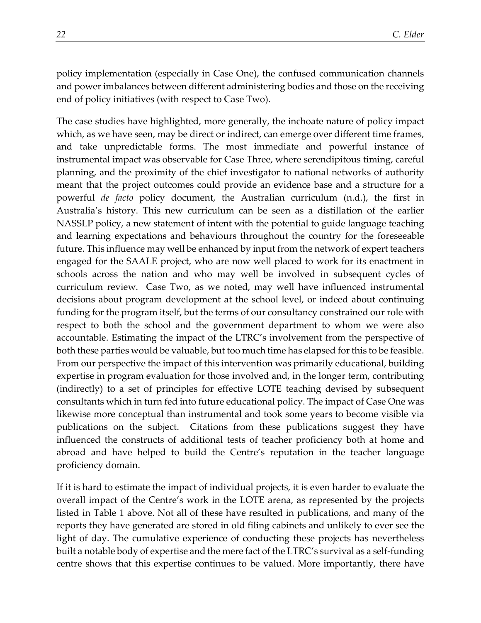policy implementation (especially in Case One), the confused communication channels and power imbalances between different administering bodies and those on the receiving end of policy initiatives (with respect to Case Two).

The case studies have highlighted, more generally, the inchoate nature of policy impact which, as we have seen, may be direct or indirect, can emerge over different time frames, and take unpredictable forms. The most immediate and powerful instance of instrumental impact was observable for Case Three, where serendipitous timing, careful planning, and the proximity of the chief investigator to national networks of authority meant that the project outcomes could provide an evidence base and a structure for a powerful *de facto* policy document, the Australian curriculum (n.d.), the first in Australia's history. This new curriculum can be seen as a distillation of the earlier NASSLP policy, a new statement of intent with the potential to guide language teaching and learning expectations and behaviours throughout the country for the foreseeable future. This influence may well be enhanced by input from the network of expert teachers engaged for the SAALE project, who are now well placed to work for its enactment in schools across the nation and who may well be involved in subsequent cycles of curriculum review. Case Two, as we noted, may well have influenced instrumental decisions about program development at the school level, or indeed about continuing funding for the program itself, but the terms of our consultancy constrained our role with respect to both the school and the government department to whom we were also accountable. Estimating the impact of the LTRC's involvement from the perspective of both these parties would be valuable, but too much time has elapsed for this to be feasible. From our perspective the impact of this intervention was primarily educational, building expertise in program evaluation for those involved and, in the longer term, contributing (indirectly) to a set of principles for effective LOTE teaching devised by subsequent consultants which in turn fed into future educational policy. The impact of Case One was likewise more conceptual than instrumental and took some years to become visible via publications on the subject. Citations from these publications suggest they have influenced the constructs of additional tests of teacher proficiency both at home and abroad and have helped to build the Centre's reputation in the teacher language proficiency domain.

If it is hard to estimate the impact of individual projects, it is even harder to evaluate the overall impact of the Centre's work in the LOTE arena, as represented by the projects listed in Table 1 above. Not all of these have resulted in publications, and many of the reports they have generated are stored in old filing cabinets and unlikely to ever see the light of day. The cumulative experience of conducting these projects has nevertheless built a notable body of expertise and the mere fact of the LTRC's survival as a self-funding centre shows that this expertise continues to be valued. More importantly, there have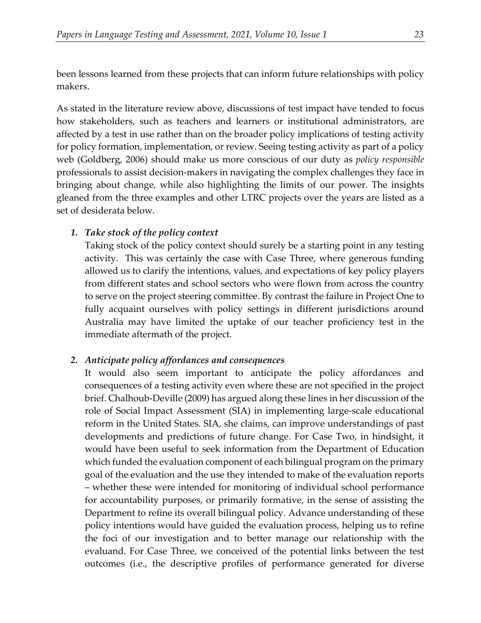been lessons learned from these projects that can inform future relationships with policy makers.

As stated in the literature review above, discussions of test impact have tended to focus how stakeholders, such as teachers and learners or institutional administrators, are affected by a test in use rather than on the broader policy implications of testing activity for policy formation, implementation, or review. Seeing testing activity as part of a policy web (Goldberg, 2006) should make us more conscious of our duty as *policy responsible* professionals to assist decision-makers in navigating the complex challenges they face in bringing about change, while also highlighting the limits of our power. The insights gleaned from the three examples and other LTRC projects over the years are listed as a set of desiderata below.

# *1. Take stock of the policy context*

Taking stock of the policy context should surely be a starting point in any testing activity. This was certainly the case with Case Three, where generous funding allowed us to clarify the intentions, values, and expectations of key policy players from different states and school sectors who were flown from across the country to serve on the project steering committee. By contrast the failure in Project One to fully acquaint ourselves with policy settings in different jurisdictions around Australia may have limited the uptake of our teacher proficiency test in the immediate aftermath of the project.

## *2. Anticipate policy affordances and consequences*

It would also seem important to anticipate the policy affordances and consequences of a testing activity even where these are not specified in the project brief. Chalhoub-Deville (2009) has argued along these lines in her discussion of the role of Social Impact Assessment (SIA) in implementing large-scale educational reform in the United States. SIA, she claims, can improve understandings of past developments and predictions of future change. For Case Two, in hindsight, it would have been useful to seek information from the Department of Education which funded the evaluation component of each bilingual program on the primary goal of the evaluation and the use they intended to make of the evaluation reports – whether these were intended for monitoring of individual school performance for accountability purposes, or primarily formative, in the sense of assisting the Department to refine its overall bilingual policy. Advance understanding of these policy intentions would have guided the evaluation process, helping us to refine the foci of our investigation and to better manage our relationship with the evaluand. For Case Three, we conceived of the potential links between the test outcomes (i.e., the descriptive profiles of performance generated for diverse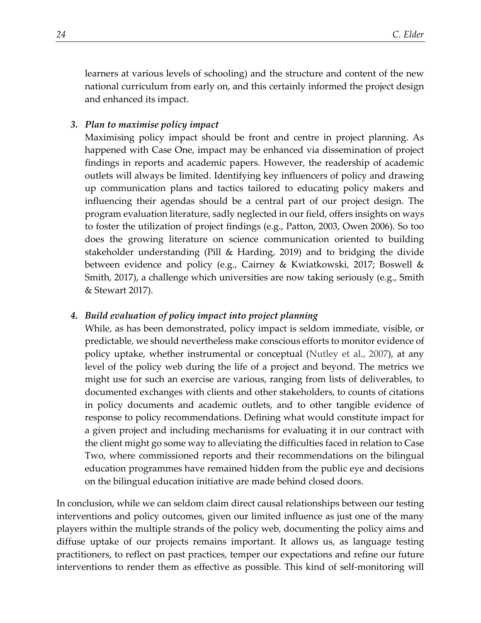learners at various levels of schooling) and the structure and content of the new national curriculum from early on, and this certainly informed the project design and enhanced its impact.

### *3. Plan to maximise policy impact*

Maximising policy impact should be front and centre in project planning. As happened with Case One, impact may be enhanced via dissemination of project findings in reports and academic papers. However, the readership of academic outlets will always be limited. Identifying key influencers of policy and drawing up communication plans and tactics tailored to educating policy makers and influencing their agendas should be a central part of our project design. The program evaluation literature, sadly neglected in our field, offers insights on ways to foster the utilization of project findings (e.g., Patton, 2003, Owen 2006). So too does the growing literature on science communication oriented to building stakeholder understanding (Pill & Harding, 2019) and to bridging the divide between evidence and policy (e.g., Cairney & Kwiatkowski, 2017; Boswell & Smith, 2017), a challenge which universities are now taking seriously (e.g., Smith & Stewart 2017).

### *4. Build evaluation of policy impact into project planning*

While, as has been demonstrated, policy impact is seldom immediate, visible, or predictable, we should nevertheless make conscious efforts to monitor evidence of policy uptake, whether instrumental or conceptual (Nutley et al., 2007), at any level of the policy web during the life of a project and beyond. The metrics we might use for such an exercise are various, ranging from lists of deliverables, to documented exchanges with clients and other stakeholders, to counts of citations in policy documents and academic outlets, and to other tangible evidence of response to policy recommendations. Defining what would constitute impact for a given project and including mechanisms for evaluating it in our contract with the client might go some way to alleviating the difficulties faced in relation to Case Two, where commissioned reports and their recommendations on the bilingual education programmes have remained hidden from the public eye and decisions on the bilingual education initiative are made behind closed doors.

In conclusion, while we can seldom claim direct causal relationships between our testing interventions and policy outcomes, given our limited influence as just one of the many players within the multiple strands of the policy web, documenting the policy aims and diffuse uptake of our projects remains important. It allows us, as language testing practitioners, to reflect on past practices, temper our expectations and refine our future interventions to render them as effective as possible. This kind of self-monitoring will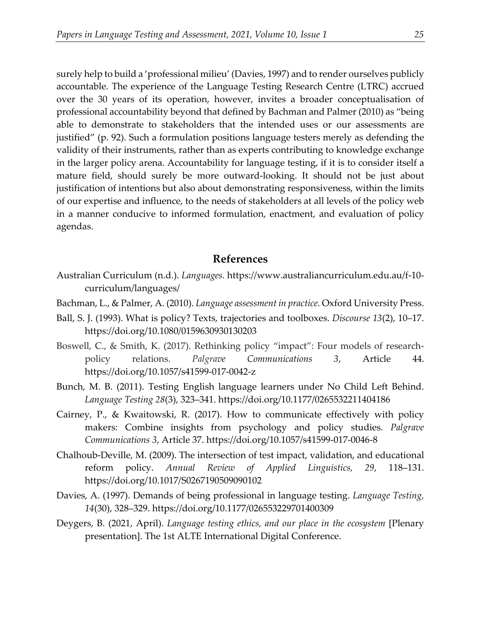surely help to build a 'professional milieu' (Davies, 1997) and to render ourselves publicly accountable. The experience of the Language Testing Research Centre (LTRC) accrued over the 30 years of its operation, however, invites a broader conceptualisation of professional accountability beyond that defined by Bachman and Palmer (2010) as "being able to demonstrate to stakeholders that the intended uses or our assessments are justified" (p. 92). Such a formulation positions language testers merely as defending the validity of their instruments, rather than as experts contributing to knowledge exchange in the larger policy arena. Accountability for language testing, if it is to consider itself a mature field, should surely be more outward-looking. It should not be just about justification of intentions but also about demonstrating responsiveness, within the limits of our expertise and influence, to the needs of stakeholders at all levels of the policy web in a manner conducive to informed formulation, enactment, and evaluation of policy agendas.

### **References**

- Australian Curriculum (n.d.). *Languages.* https://www.australiancurriculum.edu.au/f-10 curriculum/languages/
- Bachman, L., & Palmer, A. (2010). *Language assessment in practice.* Oxford University Press.
- Ball, S. J. (1993). What is policy? Texts, trajectories and toolboxes. *Discourse 13*(2), 10–17. https://doi.org/10.1080/0159630930130203
- Boswell, C., & Smith, K. (2017). Rethinking policy "impact": Four models of researchpolicy relations. *Palgrave Communications 3*, Article 44. https://doi.org/10.1057/s41599-017-0042-z
- Bunch, M. B. (2011). Testing English language learners under No Child Left Behind. *Language Testing 28*(3), 323–341. https://doi.org/10.1177/0265532211404186
- Cairney, P., & Kwaitowski, R. (2017). How to communicate effectively with policy makers: Combine insights from psychology and policy studies. *Palgrave Communications 3*, Article 37. https://doi.org/10.1057/s41599-017-0046-8
- Chalhoub-Deville, M. (2009). The intersection of test impact, validation, and educational reform policy. *Annual Review of Applied Linguistics, 29*, 118–131. https://doi.org/10.1017/S0267190509090102
- Davies, A. (1997). Demands of being professional in language testing. *Language Testing, 14*(30), 328–329. https://doi.org/10.1177/026553229701400309
- Deygers, B. (2021, April). *Language testing ethics, and our place in the ecosystem* [Plenary presentation]. The 1st ALTE International Digital Conference.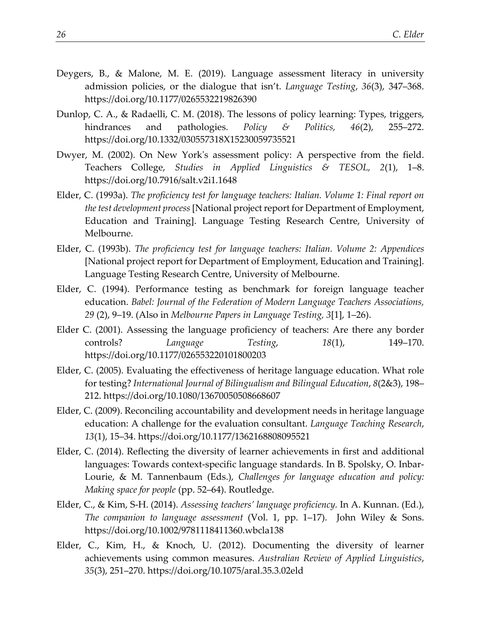- Deygers, B., & Malone, M. E. (2019). Language assessment literacy in university admission policies, or the dialogue that isn't. *Language Testing*, *36*(3), 347–368. https://doi.org/10.1177/0265532219826390
- Dunlop, C. A., & Radaelli, C. M. (2018). The lessons of policy learning: Types, triggers, hindrances and pathologies. *Policy & Politics, 46*(2), 255–272. https://doi.org/10.1332/030557318X15230059735521
- Dwyer, M. (2002). On New York's assessment policy: A perspective from the field. Teachers College, *Studies in Applied Linguistics & TESOL, 2*(1), 1–8. https://doi.org/10.7916/salt.v2i1.1648
- Elder, C. (1993a). *The proficiency test for language teachers: Italian. Volume 1: Final report on the test development process*[National project report for Department of Employment, Education and Training]. Language Testing Research Centre, University of Melbourne.
- Elder, C. (1993b). *The proficiency test for language teachers: Italian. Volume 2: Appendices* [National project report for Department of Employment, Education and Training]. Language Testing Research Centre, University of Melbourne.
- Elder, C. (1994). Performance testing as benchmark for foreign language teacher education. *Babel: Journal of the Federation of Modern Language Teachers Associations, 29* (2), 9–19. (Also in *Melbourne Papers in Language Testing, 3*[1], 1–26).
- Elder C. (2001). Assessing the language proficiency of teachers: Are there any border controls? *Language Testing*, *18*(1), 149–170. https://doi.org/10.1177/026553220101800203
- Elder, C. (2005). Evaluating the effectiveness of heritage language education. What role for testing? *International Journal of Bilingualism and Bilingual Education*, *8*(2&3), 198– 212. https://doi.org/10.1080/13670050508668607
- Elder, C. (2009). Reconciling accountability and development needs in heritage language education: A challenge for the evaluation consultant. *Language Teaching Research*, *13*(1), 15–34. https://doi.org/10.1177/1362168808095521
- Elder, C. (2014). Reflecting the diversity of learner achievements in first and additional languages: Towards context-specific language standards. In B. Spolsky, O. Inbar-Lourie, & M. Tannenbaum (Eds.), *Challenges for language education and policy: Making space for people* (pp. 52–64). Routledge.
- Elder, C., & Kim, S-H. (2014). *Assessing teachers' language proficiency.* In A. Kunnan. (Ed.), *The companion to language assessment* (Vol. 1, pp. 1–17). John Wiley & Sons. https://doi.org/10.1002/9781118411360.wbcla138
- Elder, C., Kim, H., & Knoch, U. (2012). Documenting the diversity of learner achievements using common measures. *Australian Review of Applied Linguistics*, *35*(3), 251–270. https://doi.org/10.1075/aral.35.3.02eld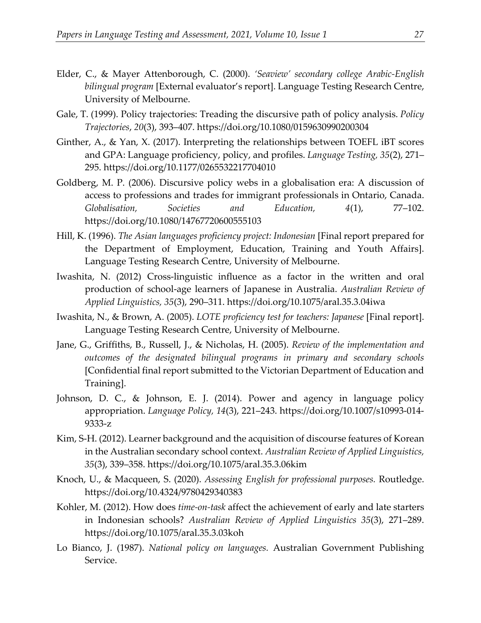- Elder, C., & Mayer Attenborough, C. (2000). *'Seaview' secondary college Arabic-English bilingual program* [External evaluator's report]. Language Testing Research Centre, University of Melbourne.
- Gale, T. (1999). Policy trajectories: Treading the discursive path of policy analysis. *Policy Trajectories*, *20*(3), 393–407. https://doi.org/10.1080/0159630990200304
- Ginther, A., & Yan, X. (2017). Interpreting the relationships between TOEFL iBT scores and GPA: Language proficiency, policy, and profiles. *Language Testing, 35*(2), 271– 295. https://doi.org/10.1177/0265532217704010
- Goldberg, M. P. (2006). Discursive policy webs in a globalisation era: A discussion of access to professions and trades for immigrant professionals in Ontario, Canada. *Globalisation, Societies and Education, 4*(1), 77–102. https://doi.org/10.1080/14767720600555103
- Hill, K. (1996). *The Asian languages proficiency project: Indonesian* [Final report prepared for the Department of Employment, Education, Training and Youth Affairs]. Language Testing Research Centre, University of Melbourne.
- Iwashita, N. (2012) Cross-linguistic influence as a factor in the written and oral production of school-age learners of Japanese in Australia. *Australian Review of Applied Linguistics, 35*(3), 290–311. https://doi.org/10.1075/aral.35.3.04iwa
- Iwashita, N., & Brown, A. (2005). *LOTE proficiency test for teachers: Japanese* [Final report]. Language Testing Research Centre, University of Melbourne.
- Jane, G., Griffiths, B., Russell, J., & Nicholas, H. (2005). *Review of the implementation and outcomes of the designated bilingual programs in primary and secondary schools* [Confidential final report submitted to the Victorian Department of Education and Training].
- Johnson, D. C., & Johnson, E. J. (2014). Power and agency in language policy appropriation. *Language Policy, 14*(3), 221–243. https://doi.org/10.1007/s10993-014- 9333-z
- Kim, S-H. (2012). Learner background and the acquisition of discourse features of Korean in the Australian secondary school context. *Australian Review of Applied Linguistics, 35*(3), 339–358. https://doi.org/10.1075/aral.35.3.06kim
- Knoch, U., & Macqueen, S. (2020). *Assessing English for professional purposes.* Routledge. https://doi.org/10.4324/9780429340383
- Kohler, M. (2012). How does *time-on-task* affect the achievement of early and late starters in Indonesian schools? *Australian Review of Applied Linguistics 35*(3), 271–289. https://doi.org/10.1075/aral.35.3.03koh
- Lo Bianco, J. (1987). *National policy on languages.* Australian Government Publishing Service.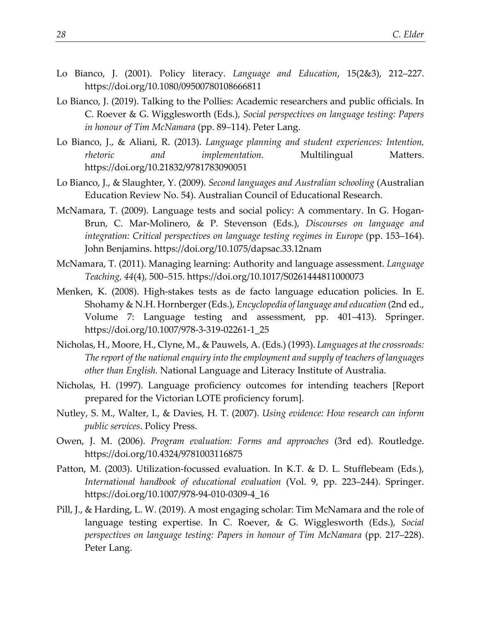- Lo Bianco, J. (2001). Policy literacy. *Language and Education*, 15(2&3), 212–227. https://doi.org/10.1080/09500780108666811
- Lo Bianco, J. (2019). Talking to the Pollies: Academic researchers and public officials. In C. Roever & G. Wigglesworth (Eds.), *Social perspectives on language testing: Papers in honour of Tim McNamara* (pp. 89–114). Peter Lang.
- Lo Bianco, J., & Aliani, R. (2013). *Language planning and student experiences: Intention, rhetoric* and *implementation*. Multilingual Matters. https://doi.org/10.21832/9781783090051
- Lo Bianco, J., & Slaughter, Y. (2009). *Second languages and Australian schooling* (Australian Education Review No. 54). Australian Council of Educational Research.
- McNamara, T. (2009). Language tests and social policy: A commentary. In G. Hogan-Brun, C. Mar-Molinero, & P. Stevenson (Eds.), *Discourses on language and integration: Critical perspectives on language testing regimes in Europe* (pp. 153–164). John Benjamins. https://doi.org/10.1075/dapsac.33.12nam
- McNamara, T. (2011). Managing learning: Authority and language assessment. *Language Teaching, 44*(4), 500–515. https://doi.org/10.1017/S0261444811000073
- Menken, K. (2008). High-stakes tests as de facto language education policies. In E. Shohamy & N.H. Hornberger (Eds.), *Encyclopedia of language and education* (2nd ed., Volume 7: Language testing and assessment, pp. 401–413). Springer. https://doi.org/10.1007/978-3-319-02261-1\_25
- Nicholas, H., Moore, H., Clyne, M., & Pauwels, A. (Eds.) (1993). *Languages at the crossroads: The report of the national enquiry into the employment and supply of teachers of languages other than English.* National Language and Literacy Institute of Australia.
- Nicholas, H. (1997). Language proficiency outcomes for intending teachers [Report prepared for the Victorian LOTE proficiency forum].
- Nutley, S. M., Walter, I., & Davies, H. T. (2007). *Using evidence: How research can inform public services*. Policy Press.
- Owen, J. M. (2006). *Program evaluation: Forms and approaches* (3rd ed). Routledge. https://doi.org/10.4324/9781003116875
- Patton, M. (2003). Utilization-focussed evaluation. In K.T. & D. L. Stufflebeam (Eds.), *International handbook of educational evaluation* (Vol. 9, pp. 223–244). Springer. https://doi.org/10.1007/978-94-010-0309-4\_16
- Pill, J., & Harding, L. W. (2019). A most engaging scholar: Tim McNamara and the role of language testing expertise. In C. Roever, & G. Wigglesworth (Eds.), *Social perspectives on language testing: Papers in honour of Tim McNamara* (pp. 217–228). Peter Lang.